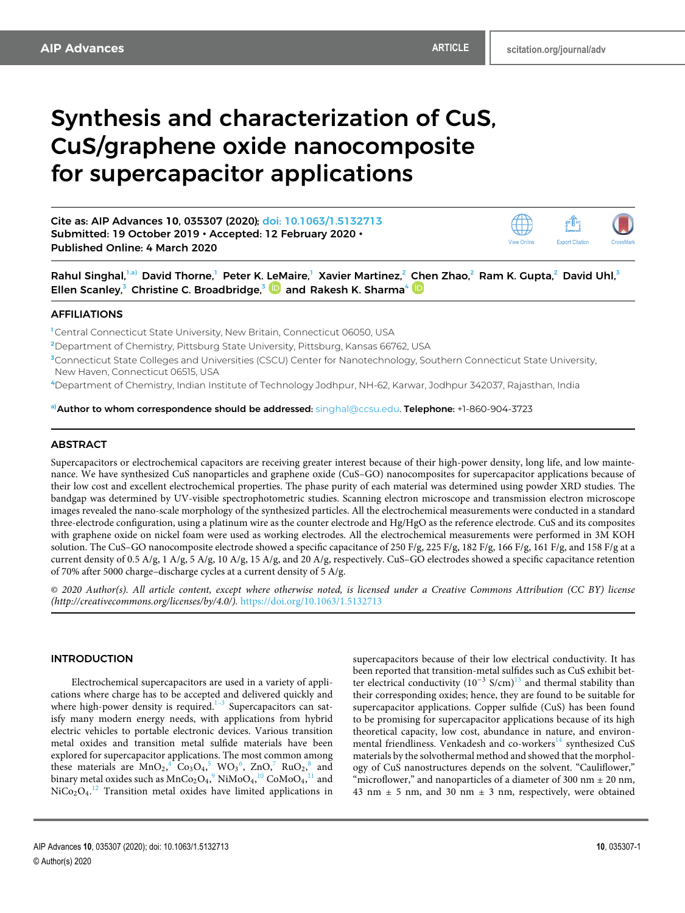# Synthesis and characterization of CuS, CuS/graphene oxide nanocomposite for supercapacitor applications

Cite as: AIP Advances **10**, 035307 (2020); doi: 10.1063/1.5132713 Submitted: 19 October 2019 • Accepted: 12 February 2020 • Published Online: 4 March 2020



Rahul Singhal,<sup>1,a)</sup> David Thorne,<sup>1</sup> Peter K. LeMaire,<sup>1</sup> Xavier Martinez,<sup>2</sup> Chen Zhao,<sup>2</sup> Ram K. Gupta,<sup>2</sup> David Uhl,<sup>3</sup> Ellen Scanley,<sup>3</sup> Christine C. Broadbridge,<sup>3</sup>  $\blacksquare$  and Rakesh K. Sharma<sup>4</sup>

# AFFILIATIONS

**<sup>1</sup>** Central Connecticut State University, New Britain, Connecticut 06050, USA

**<sup>2</sup>**Department of Chemistry, Pittsburg State University, Pittsburg, Kansas 66762, USA

**<sup>3</sup>**Connecticut State Colleges and Universities (CSCU) Center for Nanotechnology, Southern Connecticut State University, New Haven, Connecticut 06515, USA

**<sup>4</sup>**Department of Chemistry, Indian Institute of Technology Jodhpur, NH-62, Karwar, Jodhpur 342037, Rajasthan, India

**a)**Author to whom correspondence should be addressed: singhal@ccsu.edu. Telephone: +1-860-904-3723

# ABSTRACT

Supercapacitors or electrochemical capacitors are receiving greater interest because of their high-power density, long life, and low maintenance. We have synthesized CuS nanoparticles and graphene oxide (CuS–GO) nanocomposites for supercapacitor applications because of their low cost and excellent electrochemical properties. The phase purity of each material was determined using powder XRD studies. The bandgap was determined by UV-visible spectrophotometric studies. Scanning electron microscope and transmission electron microscope images revealed the nano-scale morphology of the synthesized particles. All the electrochemical measurements were conducted in a standard three-electrode configuration, using a platinum wire as the counter electrode and Hg/HgO as the reference electrode. CuS and its composites with graphene oxide on nickel foam were used as working electrodes. All the electrochemical measurements were performed in 3M KOH solution. The CuS–GO nanocomposite electrode showed a specific capacitance of 250 F/g, 225 F/g, 182 F/g, 166 F/g, 161 F/g, and 158 F/g at a current density of 0.5 A/g, 1 A/g, 5 A/g, 10 A/g, 15 A/g, and 20 A/g, respectively. CuS–GO electrodes showed a specific capacitance retention of 70% after 5000 charge–discharge cycles at a current density of 5 A/g.

© *2020 Author(s). All article content, except where otherwise noted, is licensed under a Creative Commons Attribution (CC BY) license (http://creativecommons.org/licenses/by/4.0/).* https://doi.org/10.1063/1.5132713.,

# INTRODUCTION

Electrochemical supercapacitors are used in a variety of applications where charge has to be accepted and delivered quickly and where high-power density is required. $1-3$  Supercapacitors can satisfy many modern energy needs, with applications from hybrid electric vehicles to portable electronic devices. Various transition metal oxides and transition metal sulfide materials have been explored for supercapacitor applications. The most common among these materials are  $MnO<sub>2</sub><sup>4</sup>CO<sub>3</sub>O<sub>4</sub><sup>5</sup>WO<sub>3</sub><sup>6</sup>$ , ZnO,<sup>7</sup> RuO<sub>2</sub>,<sup>8</sup> and binary metal oxides such as  $\rm Mn Co_2O_4,^9\rm NiMoO_4,^{10}CoMoO_4,^{11}$  and  $NiCo<sub>2</sub>O<sub>4</sub>.<sup>12</sup>$  Transition metal oxides have limited applications in

supercapacitors because of their low electrical conductivity. It has been reported that transition-metal sulfides such as CuS exhibit better electrical conductivity  $(10^{-3} \text{ S/cm})^{13}$  and thermal stability than their corresponding oxides; hence, they are found to be suitable for supercapacitor applications. Copper sulfide (CuS) has been found to be promising for supercapacitor applications because of its high theoretical capacity, low cost, abundance in nature, and environmental friendliness. Venkadesh and co-workers<sup>14</sup> synthesized CuS materials by the solvothermal method and showed that the morphology of CuS nanostructures depends on the solvent. "Cauliflower," "microflower," and nanoparticles of a diameter of 300 nm  $\pm$  20 nm, 43 nm  $\pm$  5 nm, and 30 nm  $\pm$  3 nm, respectively, were obtained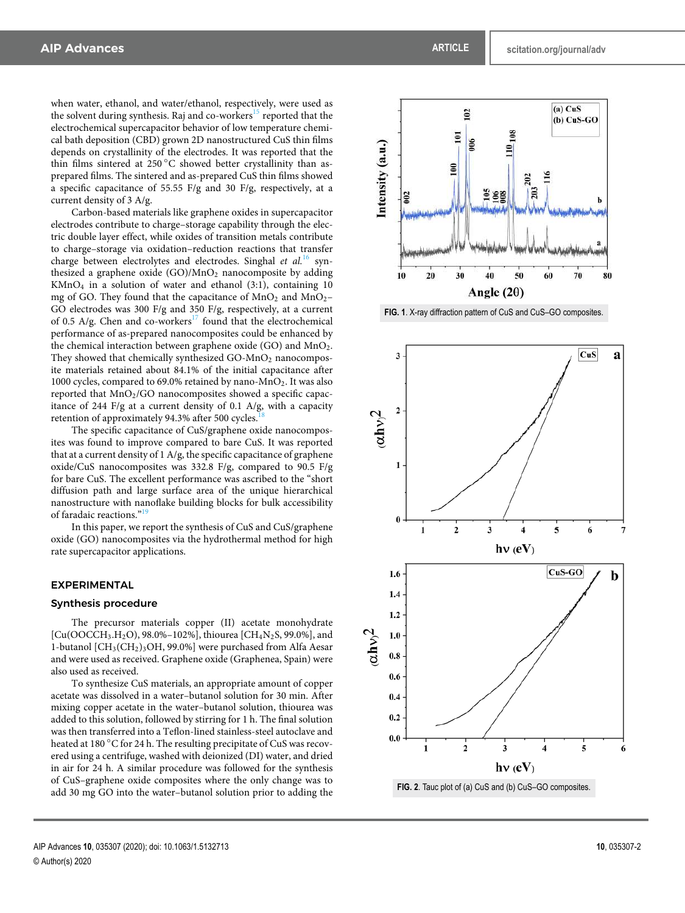when water, ethanol, and water/ethanol, respectively, were used as the solvent during synthesis. Raj and co-workers<sup>15</sup> reported that the electrochemical supercapacitor behavior of low temperature chemical bath deposition (CBD) grown 2D nanostructured CuS thin films depends on crystallinity of the electrodes. It was reported that the thin films sintered at 250 °C showed better crystallinity than asprepared films. The sintered and as-prepared CuS thin films showed a specific capacitance of 55.55 F/g and 30 F/g, respectively, at a current density of 3 A/g.

Carbon-based materials like graphene oxides in supercapacitor electrodes contribute to charge–storage capability through the electric double layer effect, while oxides of transition metals contribute to charge–storage via oxidation–reduction reactions that transfer charge between electrolytes and electrodes. Singhal *et al.*<sup>16</sup> synthesized a graphene oxide  $(GO)/MnO<sub>2</sub>$  nanocomposite by adding KMnO<sup>4</sup> in a solution of water and ethanol (3:1), containing 10 mg of GO. They found that the capacitance of  $MnO_2$  and  $MnO_2$ – GO electrodes was 300 F/g and 350 F/g, respectively, at a current of 0.5 A/g. Chen and co-workers $17$  found that the electrochemical performance of as-prepared nanocomposites could be enhanced by the chemical interaction between graphene oxide  $(GO)$  and  $MnO<sub>2</sub>$ . They showed that chemically synthesized  $GO-MnO<sub>2</sub>$  nanocomposite materials retained about 84.1% of the initial capacitance after 1000 cycles, compared to 69.0% retained by nano- $MnO<sub>2</sub>$ . It was also reported that MnO<sub>2</sub>/GO nanocomposites showed a specific capacitance of 244 F/g at a current density of 0.1 A/g, with a capacity retention of approximately 94.3% after 500 cycles.

The specific capacitance of CuS/graphene oxide nanocomposites was found to improve compared to bare CuS. It was reported that at a current density of 1 A/g, the specific capacitance of graphene oxide/CuS nanocomposites was 332.8 F/g, compared to 90.5 F/g for bare CuS. The excellent performance was ascribed to the "short diffusion path and large surface area of the unique hierarchical nanostructure with nanoflake building blocks for bulk accessibility of faradaic reactions."<sup>19</sup>

In this paper, we report the synthesis of CuS and CuS/graphene oxide (GO) nanocomposites via the hydrothermal method for high rate supercapacitor applications.

# EXPERIMENTAL

### Synthesis procedure

The precursor materials copper (II) acetate monohydrate  $[Cu(OOCCH<sub>3</sub>.H<sub>2</sub>O), 98.0%–102%]$ , thiourea  $[CH<sub>4</sub>N<sub>2</sub>S, 99.0%]$ , and 1-butanol [CH3(CH2)3OH, 99.0%] were purchased from Alfa Aesar and were used as received. Graphene oxide (Graphenea, Spain) were also used as received.

To synthesize CuS materials, an appropriate amount of copper acetate was dissolved in a water–butanol solution for 30 min. After mixing copper acetate in the water–butanol solution, thiourea was added to this solution, followed by stirring for 1 h. The final solution was then transferred into a Teflon-lined stainless-steel autoclave and heated at 180 °C for 24 h. The resulting precipitate of CuS was recovered using a centrifuge, washed with deionized (DI) water, and dried in air for 24 h. A similar procedure was followed for the synthesis of CuS–graphene oxide composites where the only change was to add 30 mg GO into the water–butanol solution prior to adding the





**FIG. 2**. Tauc plot of (a) CuS and (b) CuS–GO composites.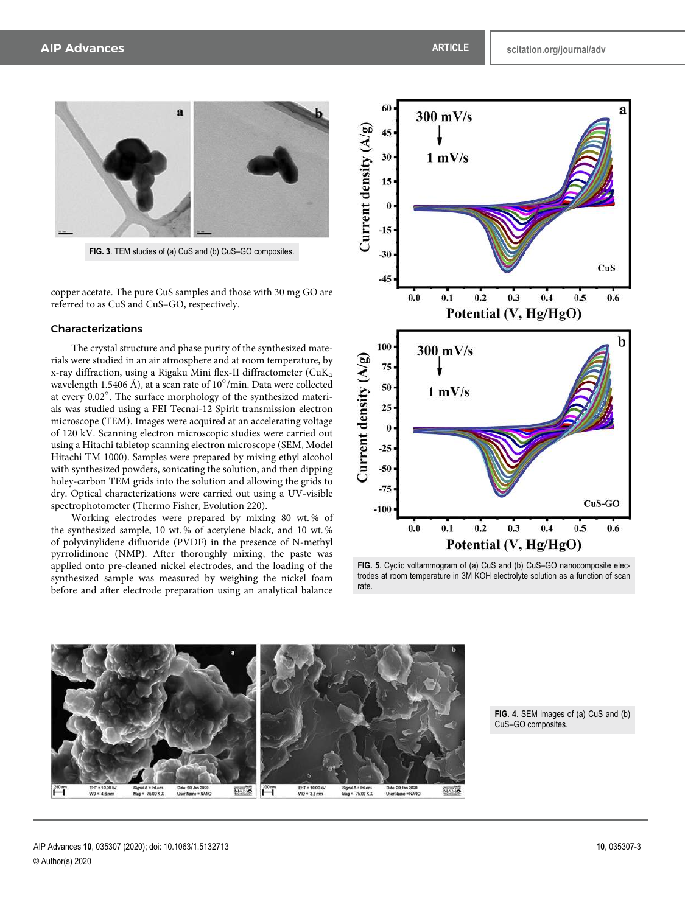

**FIG. 3**. TEM studies of (a) CuS and (b) CuS–GO composites.

copper acetate. The pure CuS samples and those with 30 mg GO are referred to as CuS and CuS–GO, respectively.

# Characterizations

The crystal structure and phase purity of the synthesized materials were studied in an air atmosphere and at room temperature, by x-ray diffraction, using a Rigaku Mini flex-II diffractometer (CuK<sup>α</sup> wavelength 1.5406 Å), at a scan rate of 10°/min. Data were collected at every 0.02○ . The surface morphology of the synthesized materials was studied using a FEI Tecnai-12 Spirit transmission electron microscope (TEM). Images were acquired at an accelerating voltage of 120 kV. Scanning electron microscopic studies were carried out using a Hitachi tabletop scanning electron microscope (SEM, Model Hitachi TM 1000). Samples were prepared by mixing ethyl alcohol with synthesized powders, sonicating the solution, and then dipping holey-carbon TEM grids into the solution and allowing the grids to dry. Optical characterizations were carried out using a UV-visible spectrophotometer (Thermo Fisher, Evolution 220).

Working electrodes were prepared by mixing 80 wt. % of the synthesized sample, 10 wt. % of acetylene black, and 10 wt. % of polyvinylidene difluoride (PVDF) in the presence of N-methyl pyrrolidinone (NMP). After thoroughly mixing, the paste was applied onto pre-cleaned nickel electrodes, and the loading of the synthesized sample was measured by weighing the nickel foam before and after electrode preparation using an analytical balance



**FIG. 5**. Cyclic voltammogram of (a) CuS and (b) CuS–GO nanocomposite electrodes at room temperature in 3M KOH electrolyte solution as a function of scan rate.



**FIG. 4**. SEM images of (a) CuS and (b) CuS–GO composites.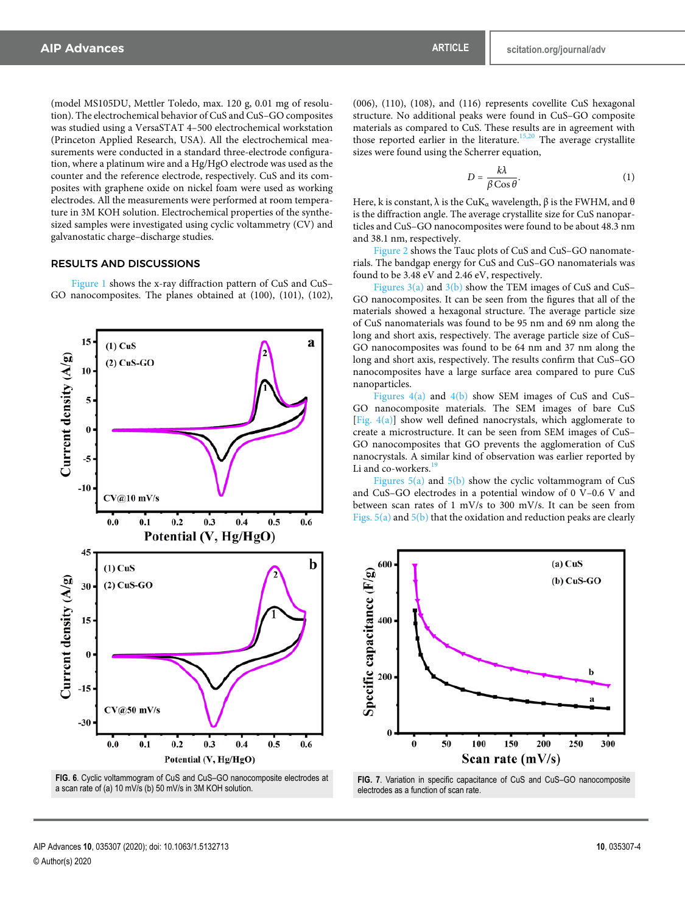(model MS105DU, Mettler Toledo, max. 120 g, 0.01 mg of resolution). The electrochemical behavior of CuS and CuS–GO composites was studied using a VersaSTAT 4–500 electrochemical workstation (Princeton Applied Research, USA). All the electrochemical measurements were conducted in a standard three-electrode configuration, where a platinum wire and a Hg/HgO electrode was used as the counter and the reference electrode, respectively. CuS and its composites with graphene oxide on nickel foam were used as working electrodes. All the measurements were performed at room temperature in 3M KOH solution. Electrochemical properties of the synthesized samples were investigated using cyclic voltammetry (CV) and galvanostatic charge–discharge studies.

#### RESULTS AND DISCUSSIONS

Figure 1 shows the x-ray diffraction pattern of CuS and CuS– GO nanocomposites. The planes obtained at (100), (101), (102),



**FIG. 6**. Cyclic voltammogram of CuS and CuS–GO nanocomposite electrodes at a scan rate of (a) 10 mV/s (b) 50 mV/s in 3M KOH solution.

(006), (110), (108), and (116) represents covellite CuS hexagonal structure. No additional peaks were found in CuS–GO composite materials as compared to CuS. These results are in agreement with those reported earlier in the literature.<sup>15,20</sup> The average crystallite sizes were found using the Scherrer equation,

$$
D = \frac{k\lambda}{\beta \cos \theta}.
$$
 (1)

Here, k is constant,  $\lambda$  is the CuK<sub>α</sub> wavelength,  $\beta$  is the FWHM, and  $\theta$ is the diffraction angle. The average crystallite size for CuS nanoparticles and CuS–GO nanocomposites were found to be about 48.3 nm and 38.1 nm, respectively.

Figure 2 shows the Tauc plots of CuS and CuS–GO nanomaterials. The bandgap energy for CuS and CuS–GO nanomaterials was found to be 3.48 eV and 2.46 eV, respectively.

Figures  $3(a)$  and  $3(b)$  show the TEM images of CuS and CuS-GO nanocomposites. It can be seen from the figures that all of the materials showed a hexagonal structure. The average particle size of CuS nanomaterials was found to be 95 nm and 69 nm along the long and short axis, respectively. The average particle size of CuS– GO nanocomposites was found to be 64 nm and 37 nm along the long and short axis, respectively. The results confirm that CuS–GO nanocomposites have a large surface area compared to pure CuS nanoparticles.

Figures  $4(a)$  and  $4(b)$  show SEM images of CuS and CuS– GO nanocomposite materials. The SEM images of bare CuS [Fig. 4(a)] show well defined nanocrystals, which agglomerate to create a microstructure. It can be seen from SEM images of CuS– GO nanocomposites that GO prevents the agglomeration of CuS nanocrystals. A similar kind of observation was earlier reported by Li and co-workers. $19$ 

Figures  $5(a)$  and  $5(b)$  show the cyclic voltammogram of CuS and CuS–GO electrodes in a potential window of 0 V–0.6 V and between scan rates of 1 mV/s to 300 mV/s. It can be seen from Figs.  $5(a)$  and  $5(b)$  that the oxidation and reduction peaks are clearly



**FIG. 7**. Variation in specific capacitance of CuS and CuS–GO nanocomposite electrodes as a function of scan rate.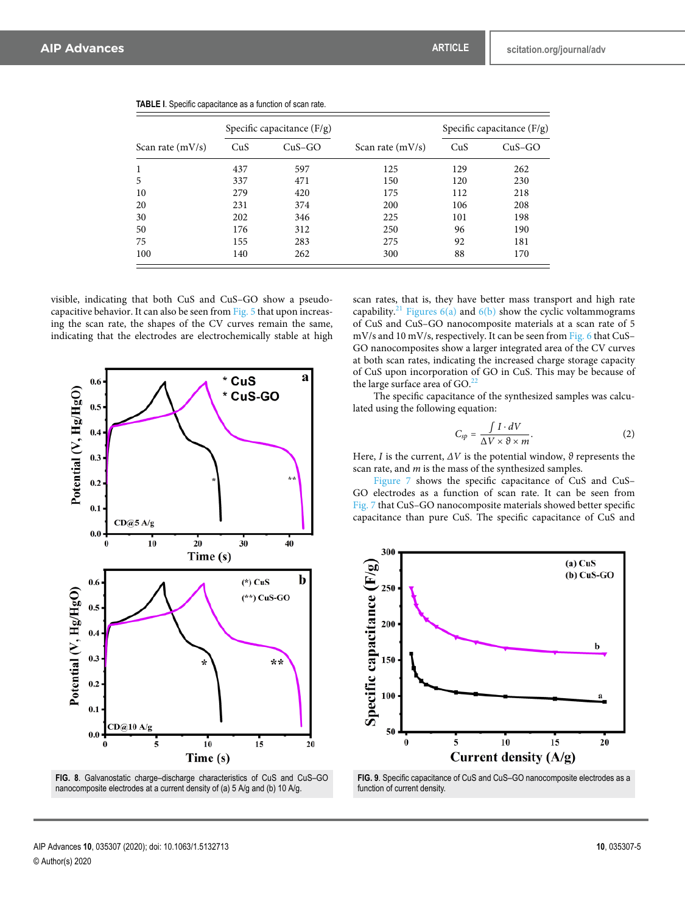| Scan rate $(mV/s)$ | Specific capacitance $(F/g)$ |          |                    | Specific capacitance $(F/g)$ |          |  |
|--------------------|------------------------------|----------|--------------------|------------------------------|----------|--|
|                    | CuS                          | $CuS-GO$ | Scan rate $(mV/s)$ | CuS                          | $CuS-GO$ |  |
|                    | 437                          | 597      | 125                | 129                          | 262      |  |
| 5                  | 337                          | 471      | 150                | 120                          | 230      |  |
| 10                 | 279                          | 420      | 175                | 112                          | 218      |  |
| 20                 | 231                          | 374      | 200                | 106                          | 208      |  |
| 30                 | 202                          | 346      | 225                | 101                          | 198      |  |
| 50                 | 176                          | 312      | 250                | 96                           | 190      |  |
| 75                 | 155                          | 283      | 275                | 92                           | 181      |  |
| 100                | 140                          | 262      | 300                | 88                           | 170      |  |

|  | TABLE I. Specific capacitance as a function of scan rate. |  |  |
|--|-----------------------------------------------------------|--|--|
|--|-----------------------------------------------------------|--|--|

visible, indicating that both CuS and CuS–GO show a pseudocapacitive behavior. It can also be seen from Fig. 5 that upon increasing the scan rate, the shapes of the CV curves remain the same, indicating that the electrodes are electrochemically stable at high



**FIG. 8**. Galvanostatic charge–discharge characteristics of CuS and CuS–GO nanocomposite electrodes at a current density of (a) 5 A/g and (b) 10 A/g.

scan rates, that is, they have better mass transport and high rate capability.<sup>21</sup> Figures 6(a) and 6(b) show the cyclic voltammograms of CuS and CuS–GO nanocomposite materials at a scan rate of 5 mV/s and 10 mV/s, respectively. It can be seen from Fig. 6 that CuS– GO nanocomposites show a larger integrated area of the CV curves at both scan rates, indicating the increased charge storage capacity of CuS upon incorporation of GO in CuS. This may be because of the large surface area of GO.<sup>22</sup>

The specific capacitance of the synthesized samples was calculated using the following equation:

$$
C_{sp} = \frac{\int I \cdot dV}{\Delta V \times \vartheta \times m}.
$$
 (2)

Here, *I* is the current, *ΔV* is the potential window, *ϑ* represents the scan rate, and *m* is the mass of the synthesized samples.

Figure 7 shows the specific capacitance of CuS and CuS– GO electrodes as a function of scan rate. It can be seen from Fig. 7 that CuS–GO nanocomposite materials showed better specific capacitance than pure CuS. The specific capacitance of CuS and



**FIG. 9**. Specific capacitance of CuS and CuS–GO nanocomposite electrodes as a function of current density.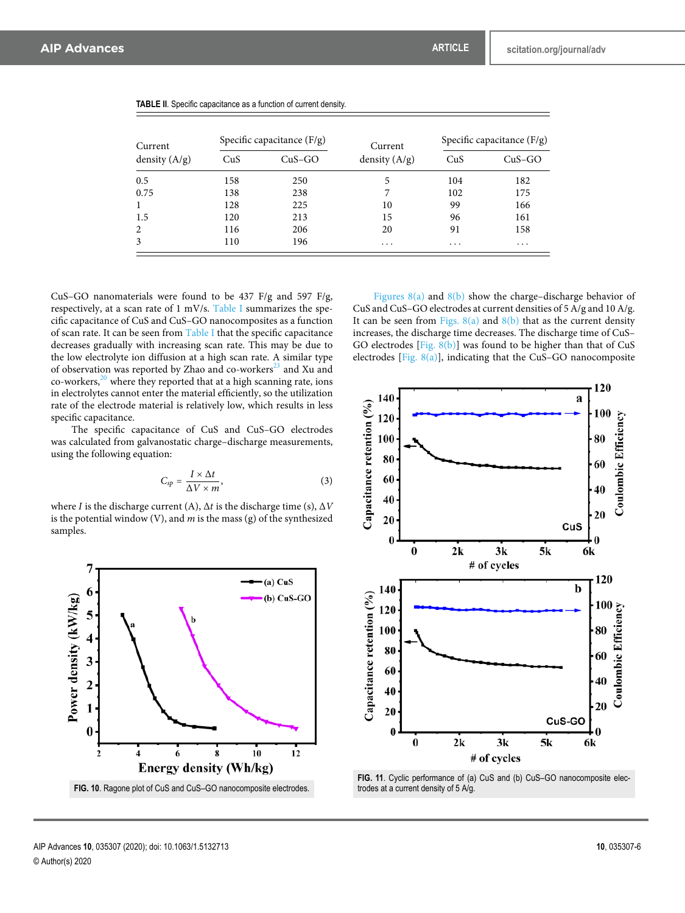| Current<br>density $(A/g)$ | Specific capacitance $(F/g)$ |          | Current         | Specific capacitance $(F/g)$ |          |  |
|----------------------------|------------------------------|----------|-----------------|------------------------------|----------|--|
|                            | CuS                          | $CuS-GO$ | density $(A/g)$ | CuS                          | $CuS-GO$ |  |
| 0.5                        | 158                          | 250      | 5               | 104                          | 182      |  |
| 0.75                       | 138                          | 238      |                 | 102                          | 175      |  |
| 1                          | 128                          | 225      | 10              | 99                           | 166      |  |
| 1.5                        | 120                          | 213      | 15              | 96                           | 161      |  |
| 2                          | 116                          | 206      | 20              | 91                           | 158      |  |
| 3                          | 110                          | 196      | .               | .                            | $\cdots$ |  |

|  |  | TABLE II. Specific capacitance as a function of current density. |  |  |  |  |  |
|--|--|------------------------------------------------------------------|--|--|--|--|--|
|--|--|------------------------------------------------------------------|--|--|--|--|--|

CuS–GO nanomaterials were found to be 437 F/g and 597 F/g, respectively, at a scan rate of 1 mV/s. Table I summarizes the specific capacitance of CuS and CuS–GO nanocomposites as a function of scan rate. It can be seen from Table I that the specific capacitance decreases gradually with increasing scan rate. This may be due to the low electrolyte ion diffusion at a high scan rate. A similar type of observation was reported by Zhao and co-workers<sup>23</sup> and Xu and co-workers, $20$  where they reported that at a high scanning rate, ions in electrolytes cannot enter the material efficiently, so the utilization rate of the electrode material is relatively low, which results in less specific capacitance.

The specific capacitance of CuS and CuS–GO electrodes was calculated from galvanostatic charge–discharge measurements, using the following equation:

$$
C_{sp} = \frac{I \times \Delta t}{\Delta V \times m},
$$
 (3)

where *I* is the discharge current (A), Δ*t* is the discharge time (s), Δ*V* is the potential window (V), and *m* is the mass (g) of the synthesized samples.



Figures  $8(a)$  and  $8(b)$  show the charge-discharge behavior of CuS and CuS–GO electrodes at current densities of 5 A/g and 10 A/g. It can be seen from Figs.  $8(a)$  and  $8(b)$  that as the current density increases, the discharge time decreases. The discharge time of CuS– GO electrodes [Fig. 8(b)] was found to be higher than that of CuS electrodes [Fig.  $8(a)$ ], indicating that the CuS–GO nanocomposite



FIG. 11. Cyclic performance of (a) CuS and (b) CuS-GO nanocomposite electrodes at a current density of 5 A/g.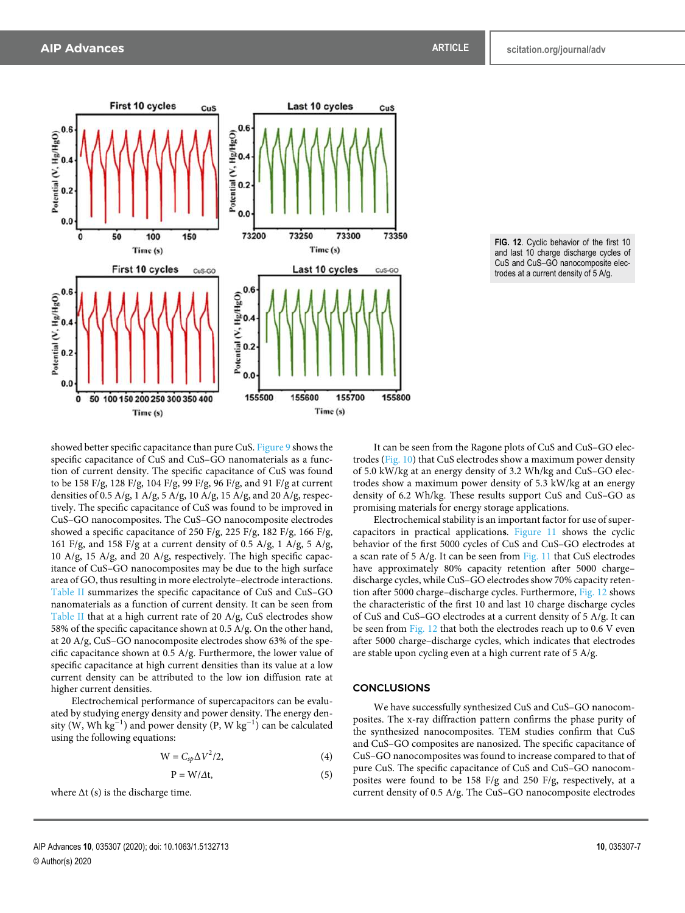

**FIG. 12**. Cyclic behavior of the first 10 and last 10 charge discharge cycles of CuS and CuS–GO nanocomposite electrodes at a current density of 5 A/g.

showed better specific capacitance than pure CuS. Figure 9 shows the specific capacitance of CuS and CuS–GO nanomaterials as a function of current density. The specific capacitance of CuS was found to be 158 F/g, 128 F/g, 104 F/g, 99 F/g, 96 F/g, and 91 F/g at current densities of 0.5 A/g, 1 A/g, 5 A/g, 10 A/g, 15 A/g, and 20 A/g, respectively. The specific capacitance of CuS was found to be improved in CuS–GO nanocomposites. The CuS–GO nanocomposite electrodes showed a specific capacitance of 250 F/g, 225 F/g, 182 F/g, 166 F/g, 161 F/g, and 158 F/g at a current density of 0.5 A/g, 1 A/g, 5 A/g, 10 A/g, 15 A/g, and 20 A/g, respectively. The high specific capacitance of CuS–GO nanocomposites may be due to the high surface area of GO, thus resulting in more electrolyte–electrode interactions. Table II summarizes the specific capacitance of CuS and CuS–GO nanomaterials as a function of current density. It can be seen from Table II that at a high current rate of 20 A/g, CuS electrodes show 58% of the specific capacitance shown at 0.5 A/g. On the other hand, at 20 A/g, CuS–GO nanocomposite electrodes show 63% of the specific capacitance shown at 0.5 A/g. Furthermore, the lower value of specific capacitance at high current densities than its value at a low current density can be attributed to the low ion diffusion rate at higher current densities.

Electrochemical performance of supercapacitors can be evaluated by studying energy density and power density. The energy density (W, Wh kg<sup>-1</sup>) and power density (P, W kg<sup>-1</sup>) can be calculated using the following equations:

$$
W = C_{sp} \Delta V^2 / 2, \qquad (4)
$$

$$
P = W/\Delta t, \tag{5}
$$

where  $\Delta t$  (s) is the discharge time.

It can be seen from the Ragone plots of CuS and CuS–GO electrodes (Fig. 10) that CuS electrodes show a maximum power density of 5.0 kW/kg at an energy density of 3.2 Wh/kg and CuS–GO electrodes show a maximum power density of 5.3 kW/kg at an energy density of 6.2 Wh/kg. These results support CuS and CuS–GO as promising materials for energy storage applications.

Electrochemical stability is an important factor for use of supercapacitors in practical application**s**. Figure 11 shows the cyclic behavior of the first 5000 cycles of CuS and CuS–GO electrodes at a scan rate of 5 A/g. It can be seen from Fig. 11 that CuS electrodes have approximately 80% capacity retention after 5000 charge– discharge cycles, while CuS–GO electrodes show 70% capacity retention after 5000 charge–discharge cycles. Furthermore, Fig. 12 shows the characteristic of the first 10 and last 10 charge discharge cycles of CuS and CuS–GO electrodes at a current density of 5 A/g. It can be seen from Fig. 12 that both the electrodes reach up to 0.6 V even after 5000 charge–discharge cycles, which indicates that electrodes are stable upon cycling even at a high current rate of 5 A/g.

### **CONCLUSIONS**

We have successfully synthesized CuS and CuS–GO nanocomposites. The x-ray diffraction pattern confirms the phase purity of the synthesized nanocomposites. TEM studies confirm that CuS and CuS–GO composites are nanosized. The specific capacitance of CuS–GO nanocomposites was found to increase compared to that of pure CuS. The specific capacitance of CuS and CuS–GO nanocomposites were found to be 158 F/g and 250 F/g, respectively, at a current density of 0.5 A/g. The CuS–GO nanocomposite electrodes